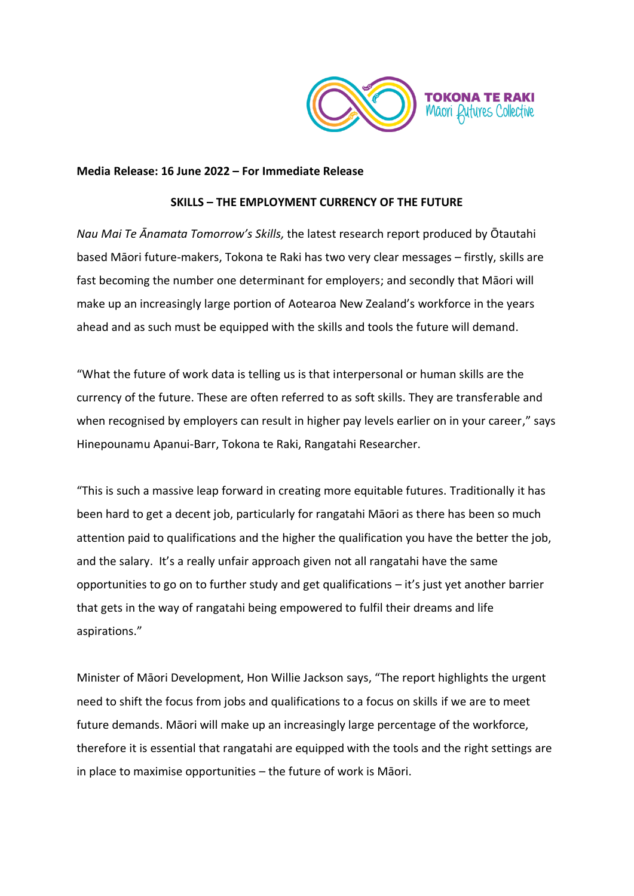

### **Media Release: 16 June 2022 – For Immediate Release**

#### **SKILLS – THE EMPLOYMENT CURRENCY OF THE FUTURE**

*Nau Mai Te Ānamata Tomorrow's Skills,* the latest research report produced by Ōtautahi based Māori future-makers, Tokona te Raki has two very clear messages – firstly, skills are fast becoming the number one determinant for employers; and secondly that Māori will make up an increasingly large portion of Aotearoa New Zealand's workforce in the years ahead and as such must be equipped with the skills and tools the future will demand.

"What the future of work data is telling us is that interpersonal or human skills are the currency of the future. These are often referred to as soft skills. They are transferable and when recognised by employers can result in higher pay levels earlier on in your career," says Hinepounamu Apanui-Barr, Tokona te Raki, Rangatahi Researcher.

"This is such a massive leap forward in creating more equitable futures. Traditionally it has been hard to get a decent job, particularly for rangatahi Māori as there has been so much attention paid to qualifications and the higher the qualification you have the better the job, and the salary. It's a really unfair approach given not all rangatahi have the same opportunities to go on to further study and get qualifications – it's just yet another barrier that gets in the way of rangatahi being empowered to fulfil their dreams and life aspirations."

Minister of Māori Development, Hon Willie Jackson says, "The report highlights the urgent need to shift the focus from jobs and qualifications to a focus on skills if we are to meet future demands. Māori will make up an increasingly large percentage of the workforce, therefore it is essential that rangatahi are equipped with the tools and the right settings are in place to maximise opportunities – the future of work is Māori.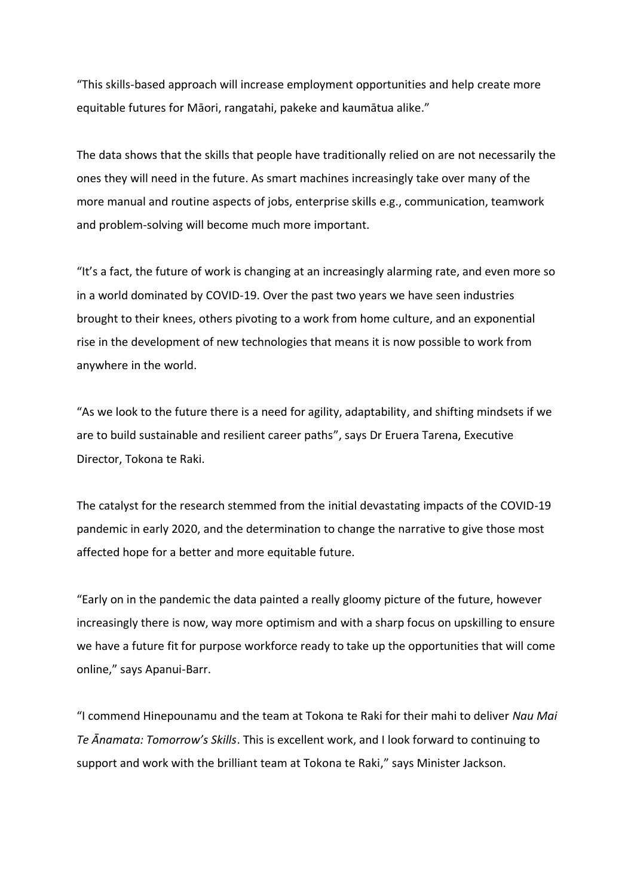"This skills-based approach will increase employment opportunities and help create more equitable futures for Māori, rangatahi, pakeke and kaumātua alike."

The data shows that the skills that people have traditionally relied on are not necessarily the ones they will need in the future. As smart machines increasingly take over many of the more manual and routine aspects of jobs, enterprise skills e.g., communication, teamwork and problem-solving will become much more important.

"It's a fact, the future of work is changing at an increasingly alarming rate, and even more so in a world dominated by COVID-19. Over the past two years we have seen industries brought to their knees, others pivoting to a work from home culture, and an exponential rise in the development of new technologies that means it is now possible to work from anywhere in the world.

"As we look to the future there is a need for agility, adaptability, and shifting mindsets if we are to build sustainable and resilient career paths", says Dr Eruera Tarena, Executive Director, Tokona te Raki.

The catalyst for the research stemmed from the initial devastating impacts of the COVID-19 pandemic in early 2020, and the determination to change the narrative to give those most affected hope for a better and more equitable future.

"Early on in the pandemic the data painted a really gloomy picture of the future, however increasingly there is now, way more optimism and with a sharp focus on upskilling to ensure we have a future fit for purpose workforce ready to take up the opportunities that will come online," says Apanui-Barr.

"I commend Hinepounamu and the team at Tokona te Raki for their mahi to deliver *Nau Mai Te Ānamata: Tomorrow's Skills*. This is excellent work, and I look forward to continuing to support and work with the brilliant team at Tokona te Raki," says Minister Jackson.